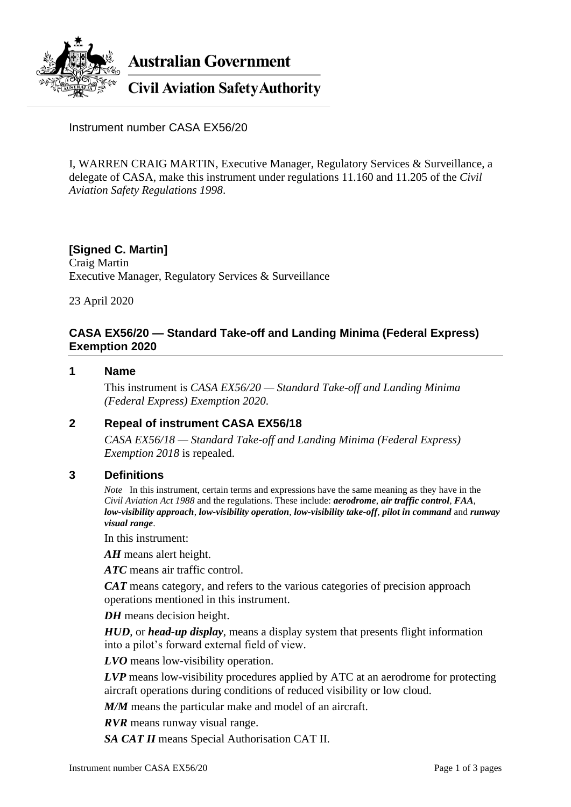

**Australian Government** 

**Civil Aviation Safety Authority** 

Instrument number CASA EX56/20

I, WARREN CRAIG MARTIN, Executive Manager, Regulatory Services & Surveillance, a delegate of CASA, make this instrument under regulations 11.160 and 11.205 of the *Civil Aviation Safety Regulations 1998*.

### **[Signed C. Martin]** Craig Martin

Executive Manager, Regulatory Services & Surveillance

23 April 2020

## **CASA EX56/20 — Standard Take-off and Landing Minima (Federal Express) Exemption 2020**

### **1 Name**

This instrument is *CASA EX56/20 — Standard Take-off and Landing Minima (Federal Express) Exemption 2020*.

## **2 Repeal of instrument CASA EX56/18**

*CASA EX56/18 — Standard Take-off and Landing Minima (Federal Express) Exemption 2018* is repealed.

### **3 Definitions**

*Note* In this instrument, certain terms and expressions have the same meaning as they have in the *Civil Aviation Act 1988* and the regulations. These include: *aerodrome*, *air traffic control*, *FAA*, *low-visibility approach*, *low-visibility operation*, *low-visibility take-off*, *pilot in command* and *runway visual range*.

In this instrument:

*AH* means alert height.

*ATC* means air traffic control.

*CAT* means category, and refers to the various categories of precision approach operations mentioned in this instrument.

*DH* means decision height.

*HUD*, or *head-up display*, means a display system that presents flight information into a pilot's forward external field of view.

*LVO* means low-visibility operation.

*LVP* means low-visibility procedures applied by ATC at an aerodrome for protecting aircraft operations during conditions of reduced visibility or low cloud.

*M/M* means the particular make and model of an aircraft.

*RVR* means runway visual range.

*SA CAT II* means Special Authorisation CAT II.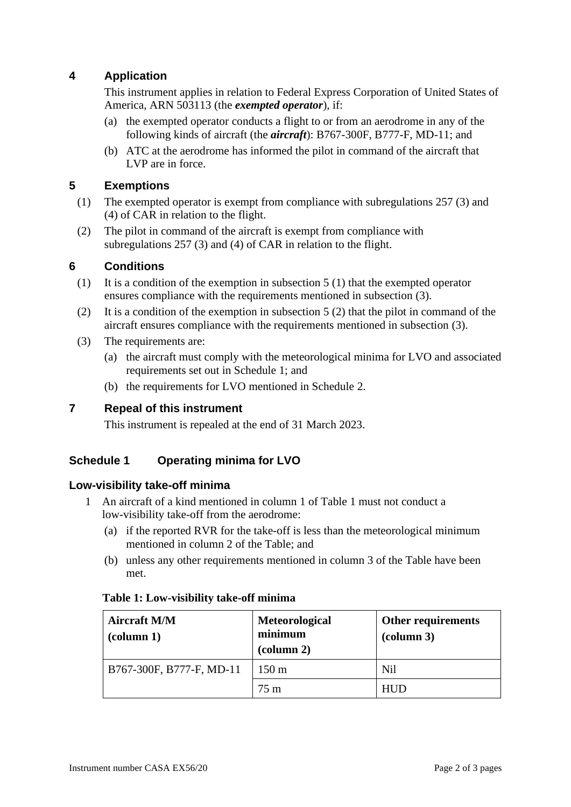# **4 Application**

This instrument applies in relation to Federal Express Corporation of United States of America, ARN 503113 (the *exempted operator*), if:

- (a) the exempted operator conducts a flight to or from an aerodrome in any of the following kinds of aircraft (the *aircraft*): B767-300F, B777-F, MD-11; and
- (b) ATC at the aerodrome has informed the pilot in command of the aircraft that LVP are in force.

# **5 Exemptions**

- (1) The exempted operator is exempt from compliance with subregulations 257 (3) and (4) of CAR in relation to the flight.
- (2) The pilot in command of the aircraft is exempt from compliance with subregulations 257 (3) and (4) of CAR in relation to the flight.

# **6 Conditions**

- (1) It is a condition of the exemption in subsection 5 (1) that the exempted operator ensures compliance with the requirements mentioned in subsection (3).
- (2) It is a condition of the exemption in subsection 5 (2) that the pilot in command of the aircraft ensures compliance with the requirements mentioned in subsection (3).
- (3) The requirements are:
	- (a) the aircraft must comply with the meteorological minima for LVO and associated requirements set out in Schedule 1; and
	- (b) the requirements for LVO mentioned in Schedule 2.

## **7 Repeal of this instrument**

This instrument is repealed at the end of 31 March 2023.

# **Schedule 1 Operating minima for LVO**

## **Low-visibility take-off minima**

- 1 An aircraft of a kind mentioned in column 1 of Table 1 must not conduct a low-visibility take-off from the aerodrome:
	- (a) if the reported RVR for the take-off is less than the meteorological minimum mentioned in column 2 of the Table; and
	- (b) unless any other requirements mentioned in column 3 of the Table have been met.

| <b>Aircraft M/M</b><br>$\left(\text{column } 1\right)$ | Meteorological<br>minimum<br>$\alpha$ (column 2) | Other requirements<br>$\alpha$ lumn 3) |
|--------------------------------------------------------|--------------------------------------------------|----------------------------------------|
| B767-300F, B777-F, MD-11                               | $150 \text{ m}$                                  | Nil                                    |
|                                                        | $75 \text{ m}$                                   | <b>HUD</b>                             |

### **Table 1: Low-visibility take-off minima**